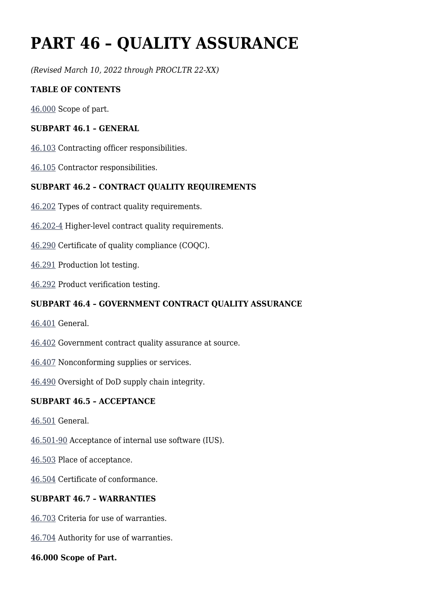# **PART 46 – QUALITY ASSURANCE**

*(Revised March 10, 2022 through PROCLTR 22-XX)*

#### **TABLE OF CONTENTS**

[46.000](https://www.acquisition.gov/%5Brp:link:dlad-part-46%5D#P46_000) Scope of part.

#### **SUBPART 46.1 – GENERAL**

[46.103](https://www.acquisition.gov/%5Brp:link:dlad-part-46%5D#P46_103) Contracting officer responsibilities.

[46.105](https://www.acquisition.gov/%5Brp:link:dlad-part-46%5D#P46_105) Contractor responsibilities.

#### **SUBPART 46.2 – CONTRACT QUALITY REQUIREMENTS**

- [46.202](https://www.acquisition.gov/%5Brp:link:dlad-part-46%5D#P46_202) Types of contract quality requirements.
- [46.202-4](https://www.acquisition.gov/%5Brp:link:dlad-part-46%5D#P46_202_4) Higher-level contract quality requirements.
- [46.290](https://www.acquisition.gov/%5Brp:link:dlad-part-46%5D#P46_290) Certificate of quality compliance (COQC).
- [46.291](https://www.acquisition.gov/%5Brp:link:dlad-part-46%5D#P46_291) Production lot testing.
- [46.292](https://www.acquisition.gov/%5Brp:link:dlad-part-46%5D#P46_292) Product verification testing.

#### **SUBPART 46.4 – GOVERNMENT CONTRACT QUALITY ASSURANCE**

- [46.401](https://www.acquisition.gov/%5Brp:link:dlad-part-46%5D#P46_401) General.
- [46.402](https://www.acquisition.gov/%5Brp:link:dlad-part-46%5D#P46_402) Government contract quality assurance at source.
- [46.407](https://www.acquisition.gov/%5Brp:link:dlad-part-46%5D#P46_407) Nonconforming supplies or services.
- [46.490](https://www.acquisition.gov/%5Brp:link:dlad-part-46%5D#P46_490) Oversight of DoD supply chain integrity.

#### **SUBPART 46.5 – ACCEPTANCE**

- [46.501](https://www.acquisition.gov/%5Brp:link:dlad-part-46%5D#P46_501) General.
- [46.501-90](https://www.acquisition.gov/%5Brp:link:dlad-part-46%5D#P46_501_90) Acceptance of internal use software (IUS).
- [46.503](https://www.acquisition.gov/%5Brp:link:dlad-part-46%5D#P46_503) Place of acceptance.
- [46.504](https://www.acquisition.gov/%5Brp:link:dlad-part-46%5D#P46_504) Certificate of conformance.

#### **SUBPART 46.7 – WARRANTIES**

- [46.703](https://www.acquisition.gov/%5Brp:link:dlad-part-46%5D#P46_703) Criteria for use of warranties.
- [46.704](https://www.acquisition.gov/%5Brp:link:dlad-part-46%5D#P46_704) Authority for use of warranties.

#### **46.000 Scope of Part.**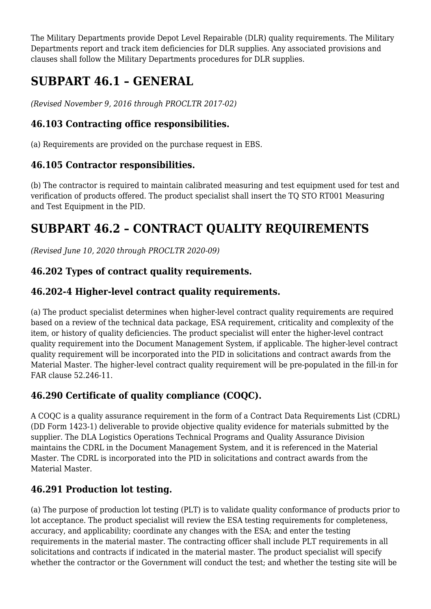The Military Departments provide Depot Level Repairable (DLR) quality requirements. The Military Departments report and track item deficiencies for DLR supplies. Any associated provisions and clauses shall follow the Military Departments procedures for DLR supplies.

## **SUBPART 46.1 – GENERAL**

*(Revised November 9, 2016 through PROCLTR 2017-02)*

## **46.103 Contracting office responsibilities.**

(a) Requirements are provided on the purchase request in EBS.

## **46.105 Contractor responsibilities.**

(b) The contractor is required to maintain calibrated measuring and test equipment used for test and verification of products offered. The product specialist shall insert the TQ STO RT001 Measuring and Test Equipment in the PID.

## **SUBPART 46.2 – CONTRACT QUALITY REQUIREMENTS**

*(Revised June 10, 2020 through PROCLTR 2020-09)*

## **46.202 Types of contract quality requirements.**

## **46.202-4 Higher-level contract quality requirements.**

(a) The product specialist determines when higher-level contract quality requirements are required based on a review of the technical data package, ESA requirement, criticality and complexity of the item, or history of quality deficiencies. The product specialist will enter the higher-level contract quality requirement into the Document Management System, if applicable. The higher-level contract quality requirement will be incorporated into the PID in solicitations and contract awards from the Material Master. The higher-level contract quality requirement will be pre-populated in the fill-in for FAR clause 52.246-11.

## **46.290 Certificate of quality compliance (COQC).**

A COQC is a quality assurance requirement in the form of a Contract Data Requirements List (CDRL) (DD Form 1423-1) deliverable to provide objective quality evidence for materials submitted by the supplier. The DLA Logistics Operations Technical Programs and Quality Assurance Division maintains the CDRL in the Document Management System, and it is referenced in the Material Master. The CDRL is incorporated into the PID in solicitations and contract awards from the Material Master.

## **46.291 Production lot testing.**

(a) The purpose of production lot testing (PLT) is to validate quality conformance of products prior to lot acceptance. The product specialist will review the ESA testing requirements for completeness, accuracy, and applicability; coordinate any changes with the ESA; and enter the testing requirements in the material master. The contracting officer shall include PLT requirements in all solicitations and contracts if indicated in the material master. The product specialist will specify whether the contractor or the Government will conduct the test; and whether the testing site will be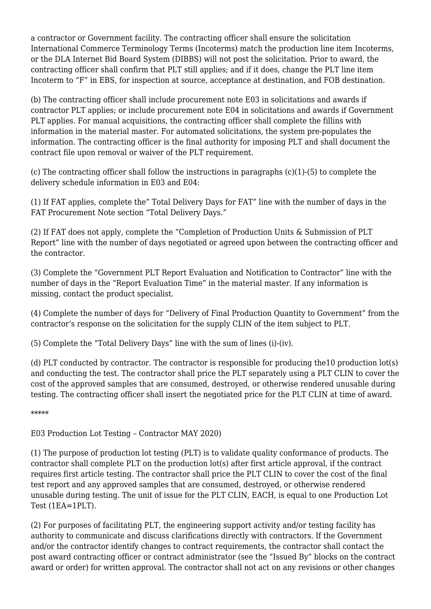a contractor or Government facility. The contracting officer shall ensure the solicitation International Commerce Terminology Terms (Incoterms) match the production line item Incoterms, or the DLA Internet Bid Board System (DIBBS) will not post the solicitation. Prior to award, the contracting officer shall confirm that PLT still applies; and if it does, change the PLT line item Incoterm to "F" in EBS, for inspection at source, acceptance at destination, and FOB destination.

(b) The contracting officer shall include procurement note E03 in solicitations and awards if contractor PLT applies; or include procurement note E04 in solicitations and awards if Government PLT applies. For manual acquisitions, the contracting officer shall complete the fillins with information in the material master. For automated solicitations, the system pre-populates the information. The contracting officer is the final authority for imposing PLT and shall document the contract file upon removal or waiver of the PLT requirement.

(c) The contracting officer shall follow the instructions in paragraphs (c)(1)-(5) to complete the delivery schedule information in E03 and E04:

(1) If FAT applies, complete the" Total Delivery Days for FAT" line with the number of days in the FAT Procurement Note section "Total Delivery Days."

(2) If FAT does not apply, complete the "Completion of Production Units & Submission of PLT Report" line with the number of days negotiated or agreed upon between the contracting officer and the contractor.

(3) Complete the "Government PLT Report Evaluation and Notification to Contractor" line with the number of days in the "Report Evaluation Time" in the material master. If any information is missing, contact the product specialist.

(4) Complete the number of days for "Delivery of Final Production Quantity to Government" from the contractor's response on the solicitation for the supply CLIN of the item subject to PLT.

(5) Complete the "Total Delivery Days" line with the sum of lines (i)-(iv).

(d) PLT conducted by contractor. The contractor is responsible for producing the10 production lot(s) and conducting the test. The contractor shall price the PLT separately using a PLT CLIN to cover the cost of the approved samples that are consumed, destroyed, or otherwise rendered unusable during testing. The contracting officer shall insert the negotiated price for the PLT CLIN at time of award.

\*\*\*\*\*

E03 Production Lot Testing – Contractor MAY 2020)

(1) The purpose of production lot testing (PLT) is to validate quality conformance of products. The contractor shall complete PLT on the production lot(s) after first article approval, if the contract requires first article testing. The contractor shall price the PLT CLIN to cover the cost of the final test report and any approved samples that are consumed, destroyed, or otherwise rendered unusable during testing. The unit of issue for the PLT CLIN, EACH, is equal to one Production Lot Test (1EA=1PLT).

(2) For purposes of facilitating PLT, the engineering support activity and/or testing facility has authority to communicate and discuss clarifications directly with contractors. If the Government and/or the contractor identify changes to contract requirements, the contractor shall contact the post award contracting officer or contract administrator (see the "Issued By" blocks on the contract award or order) for written approval. The contractor shall not act on any revisions or other changes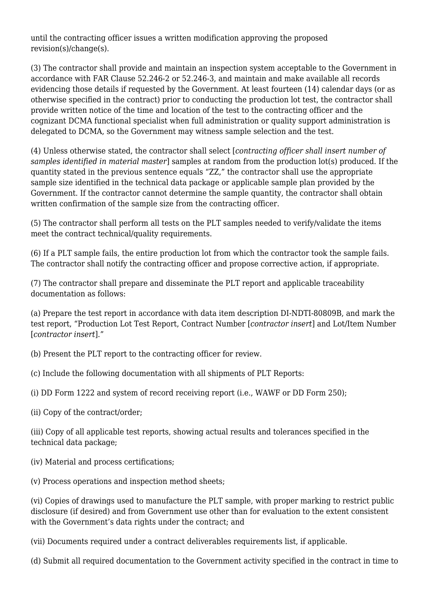until the contracting officer issues a written modification approving the proposed revision(s)/change(s).

(3) The contractor shall provide and maintain an inspection system acceptable to the Government in accordance with FAR Clause 52.246-2 or 52.246-3, and maintain and make available all records evidencing those details if requested by the Government. At least fourteen (14) calendar days (or as otherwise specified in the contract) prior to conducting the production lot test, the contractor shall provide written notice of the time and location of the test to the contracting officer and the cognizant DCMA functional specialist when full administration or quality support administration is delegated to DCMA, so the Government may witness sample selection and the test.

(4) Unless otherwise stated, the contractor shall select [*contracting officer shall insert number of samples identified in material master*] samples at random from the production lot(s) produced. If the quantity stated in the previous sentence equals "ZZ," the contractor shall use the appropriate sample size identified in the technical data package or applicable sample plan provided by the Government. If the contractor cannot determine the sample quantity, the contractor shall obtain written confirmation of the sample size from the contracting officer.

(5) The contractor shall perform all tests on the PLT samples needed to verify/validate the items meet the contract technical/quality requirements.

(6) If a PLT sample fails, the entire production lot from which the contractor took the sample fails. The contractor shall notify the contracting officer and propose corrective action, if appropriate.

(7) The contractor shall prepare and disseminate the PLT report and applicable traceability documentation as follows:

(a) Prepare the test report in accordance with data item description DI-NDTI-80809B, and mark the test report, "Production Lot Test Report, Contract Number [*contractor insert*] and Lot/Item Number [*contractor insert*]."

(b) Present the PLT report to the contracting officer for review.

(c) Include the following documentation with all shipments of PLT Reports:

(i) DD Form 1222 and system of record receiving report (i.e., WAWF or DD Form 250);

(ii) Copy of the contract/order;

(iii) Copy of all applicable test reports, showing actual results and tolerances specified in the technical data package;

(iv) Material and process certifications;

(v) Process operations and inspection method sheets;

(vi) Copies of drawings used to manufacture the PLT sample, with proper marking to restrict public disclosure (if desired) and from Government use other than for evaluation to the extent consistent with the Government's data rights under the contract: and

(vii) Documents required under a contract deliverables requirements list, if applicable.

(d) Submit all required documentation to the Government activity specified in the contract in time to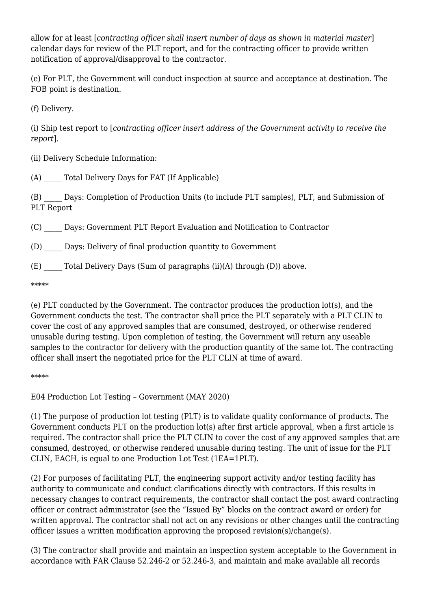allow for at least [*contracting officer shall insert number of days as shown in material master*] calendar days for review of the PLT report, and for the contracting officer to provide written notification of approval/disapproval to the contractor.

(e) For PLT, the Government will conduct inspection at source and acceptance at destination. The FOB point is destination.

(f) Delivery.

(i) Ship test report to [*contracting officer insert address of the Government activity to receive the report*].

(ii) Delivery Schedule Information:

(A) \_\_\_\_\_ Total Delivery Days for FAT (If Applicable)

(B) \_\_\_\_\_ Days: Completion of Production Units (to include PLT samples), PLT, and Submission of PLT Report

(C) \_\_\_\_\_ Days: Government PLT Report Evaluation and Notification to Contractor

(D) \_\_\_\_\_ Days: Delivery of final production quantity to Government

(E)  $\qquad$  Total Delivery Days (Sum of paragraphs (ii)(A) through (D)) above.

\*\*\*\*\*

(e) PLT conducted by the Government. The contractor produces the production lot(s), and the Government conducts the test. The contractor shall price the PLT separately with a PLT CLIN to cover the cost of any approved samples that are consumed, destroyed, or otherwise rendered unusable during testing. Upon completion of testing, the Government will return any useable samples to the contractor for delivery with the production quantity of the same lot. The contracting officer shall insert the negotiated price for the PLT CLIN at time of award.

\*\*\*\*\*

E04 Production Lot Testing – Government (MAY 2020)

(1) The purpose of production lot testing (PLT) is to validate quality conformance of products. The Government conducts PLT on the production lot(s) after first article approval, when a first article is required. The contractor shall price the PLT CLIN to cover the cost of any approved samples that are consumed, destroyed, or otherwise rendered unusable during testing. The unit of issue for the PLT CLIN, EACH, is equal to one Production Lot Test (1EA=1PLT).

(2) For purposes of facilitating PLT, the engineering support activity and/or testing facility has authority to communicate and conduct clarifications directly with contractors. If this results in necessary changes to contract requirements, the contractor shall contact the post award contracting officer or contract administrator (see the "Issued By" blocks on the contract award or order) for written approval. The contractor shall not act on any revisions or other changes until the contracting officer issues a written modification approving the proposed revision(s)/change(s).

(3) The contractor shall provide and maintain an inspection system acceptable to the Government in accordance with FAR Clause 52.246-2 or 52.246-3, and maintain and make available all records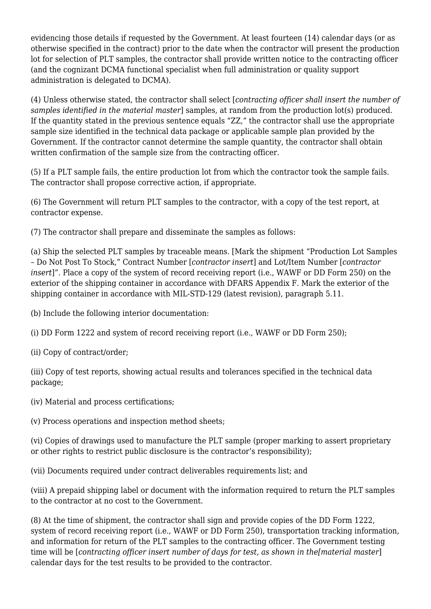evidencing those details if requested by the Government. At least fourteen (14) calendar days (or as otherwise specified in the contract) prior to the date when the contractor will present the production lot for selection of PLT samples, the contractor shall provide written notice to the contracting officer (and the cognizant DCMA functional specialist when full administration or quality support administration is delegated to DCMA).

(4) Unless otherwise stated, the contractor shall select [*contracting officer shall insert the number of samples identified in the material master*] samples, at random from the production lot(s) produced. If the quantity stated in the previous sentence equals "ZZ," the contractor shall use the appropriate sample size identified in the technical data package or applicable sample plan provided by the Government. If the contractor cannot determine the sample quantity, the contractor shall obtain written confirmation of the sample size from the contracting officer.

(5) If a PLT sample fails, the entire production lot from which the contractor took the sample fails. The contractor shall propose corrective action, if appropriate.

(6) The Government will return PLT samples to the contractor, with a copy of the test report, at contractor expense.

(7) The contractor shall prepare and disseminate the samples as follows:

(a) Ship the selected PLT samples by traceable means. [Mark the shipment "Production Lot Samples – Do Not Post To Stock," Contract Number [*contractor insert*] and Lot/Item Number [*contractor insert*]". Place a copy of the system of record receiving report (i.e., WAWF or DD Form 250) on the exterior of the shipping container in accordance with DFARS Appendix F. Mark the exterior of the shipping container in accordance with MIL-STD-129 (latest revision), paragraph 5.11.

(b) Include the following interior documentation:

(i) DD Form 1222 and system of record receiving report (i.e., WAWF or DD Form 250);

(ii) Copy of contract/order;

(iii) Copy of test reports, showing actual results and tolerances specified in the technical data package;

(iv) Material and process certifications;

(v) Process operations and inspection method sheets;

(vi) Copies of drawings used to manufacture the PLT sample (proper marking to assert proprietary or other rights to restrict public disclosure is the contractor's responsibility);

(vii) Documents required under contract deliverables requirements list; and

(viii) A prepaid shipping label or document with the information required to return the PLT samples to the contractor at no cost to the Government.

(8) At the time of shipment, the contractor shall sign and provide copies of the DD Form 1222, system of record receiving report (i.e., WAWF or DD Form 250), transportation tracking information, and information for return of the PLT samples to the contracting officer. The Government testing time will be [*contracting officer insert number of days for test, as shown in the[material master*] calendar days for the test results to be provided to the contractor.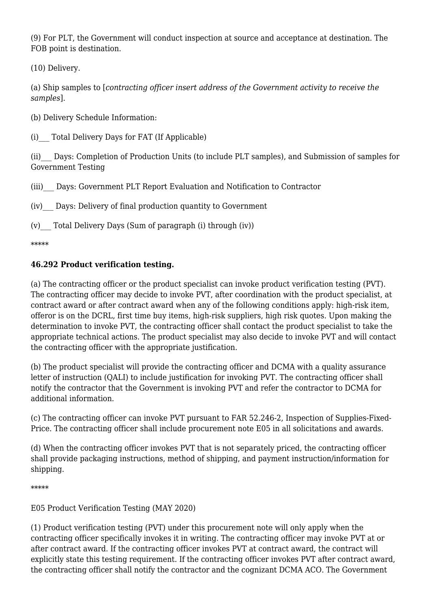(9) For PLT, the Government will conduct inspection at source and acceptance at destination. The FOB point is destination.

(10) Delivery.

(a) Ship samples to [*contracting officer insert address of the Government activity to receive the samples*].

- (b) Delivery Schedule Information:
- (i)\_\_\_ Total Delivery Days for FAT (If Applicable)

(ii)\_\_\_ Days: Completion of Production Units (to include PLT samples), and Submission of samples for Government Testing

(iii)\_\_\_ Days: Government PLT Report Evaluation and Notification to Contractor

(iv)\_\_\_ Days: Delivery of final production quantity to Government

(v) Total Delivery Days (Sum of paragraph (i) through  $(iv)$ )

\*\*\*\*\*

#### **46.292 Product verification testing.**

(a) The contracting officer or the product specialist can invoke product verification testing (PVT). The contracting officer may decide to invoke PVT, after coordination with the product specialist, at contract award or after contract award when any of the following conditions apply: high-risk item, offeror is on the DCRL, first time buy items, high-risk suppliers, high risk quotes. Upon making the determination to invoke PVT, the contracting officer shall contact the product specialist to take the appropriate technical actions. The product specialist may also decide to invoke PVT and will contact the contracting officer with the appropriate justification.

(b) The product specialist will provide the contracting officer and DCMA with a quality assurance letter of instruction (QALI) to include justification for invoking PVT. The contracting officer shall notify the contractor that the Government is invoking PVT and refer the contractor to DCMA for additional information.

(c) The contracting officer can invoke PVT pursuant to FAR 52.246-2, Inspection of Supplies-Fixed-Price. The contracting officer shall include procurement note E05 in all solicitations and awards.

(d) When the contracting officer invokes PVT that is not separately priced, the contracting officer shall provide packaging instructions, method of shipping, and payment instruction/information for shipping.

\*\*\*\*\*

E05 Product Verification Testing (MAY 2020)

(1) Product verification testing (PVT) under this procurement note will only apply when the contracting officer specifically invokes it in writing. The contracting officer may invoke PVT at or after contract award. If the contracting officer invokes PVT at contract award, the contract will explicitly state this testing requirement. If the contracting officer invokes PVT after contract award, the contracting officer shall notify the contractor and the cognizant DCMA ACO. The Government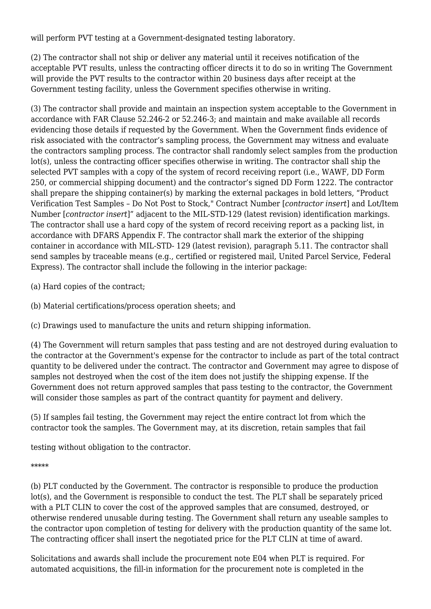will perform PVT testing at a Government-designated testing laboratory.

(2) The contractor shall not ship or deliver any material until it receives notification of the acceptable PVT results, unless the contracting officer directs it to do so in writing The Government will provide the PVT results to the contractor within 20 business days after receipt at the Government testing facility, unless the Government specifies otherwise in writing.

(3) The contractor shall provide and maintain an inspection system acceptable to the Government in accordance with FAR Clause 52.246-2 or 52.246-3; and maintain and make available all records evidencing those details if requested by the Government. When the Government finds evidence of risk associated with the contractor's sampling process, the Government may witness and evaluate the contractors sampling process. The contractor shall randomly select samples from the production lot(s), unless the contracting officer specifies otherwise in writing. The contractor shall ship the selected PVT samples with a copy of the system of record receiving report (i.e., WAWF, DD Form 250, or commercial shipping document) and the contractor's signed DD Form 1222. The contractor shall prepare the shipping container(s) by marking the external packages in bold letters, "Product Verification Test Samples – Do Not Post to Stock," Contract Number [*contractor insert*] and Lot/Item Number [*contractor insert*]" adjacent to the MIL-STD-129 (latest revision) identification markings. The contractor shall use a hard copy of the system of record receiving report as a packing list, in accordance with DFARS Appendix F. The contractor shall mark the exterior of the shipping container in accordance with MIL-STD- 129 (latest revision), paragraph 5.11. The contractor shall send samples by traceable means (e.g., certified or registered mail, United Parcel Service, Federal Express). The contractor shall include the following in the interior package:

- (a) Hard copies of the contract;
- (b) Material certifications/process operation sheets; and
- (c) Drawings used to manufacture the units and return shipping information.

(4) The Government will return samples that pass testing and are not destroyed during evaluation to the contractor at the Government's expense for the contractor to include as part of the total contract quantity to be delivered under the contract. The contractor and Government may agree to dispose of samples not destroyed when the cost of the item does not justify the shipping expense. If the Government does not return approved samples that pass testing to the contractor, the Government will consider those samples as part of the contract quantity for payment and delivery.

(5) If samples fail testing, the Government may reject the entire contract lot from which the contractor took the samples. The Government may, at its discretion, retain samples that fail

testing without obligation to the contractor.

#### \*\*\*\*\*

(b) PLT conducted by the Government. The contractor is responsible to produce the production lot(s), and the Government is responsible to conduct the test. The PLT shall be separately priced with a PLT CLIN to cover the cost of the approved samples that are consumed, destroyed, or otherwise rendered unusable during testing. The Government shall return any useable samples to the contractor upon completion of testing for delivery with the production quantity of the same lot. The contracting officer shall insert the negotiated price for the PLT CLIN at time of award.

Solicitations and awards shall include the procurement note E04 when PLT is required. For automated acquisitions, the fill-in information for the procurement note is completed in the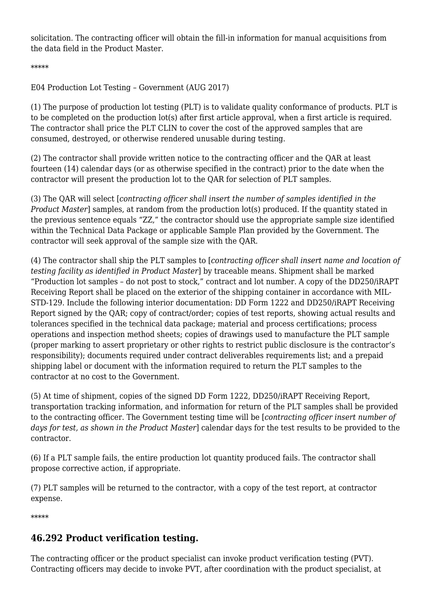solicitation. The contracting officer will obtain the fill-in information for manual acquisitions from the data field in the Product Master.

\*\*\*\*\*

E04 Production Lot Testing – Government (AUG 2017)

(1) The purpose of production lot testing (PLT) is to validate quality conformance of products. PLT is to be completed on the production lot(s) after first article approval, when a first article is required. The contractor shall price the PLT CLIN to cover the cost of the approved samples that are consumed, destroyed, or otherwise rendered unusable during testing.

(2) The contractor shall provide written notice to the contracting officer and the QAR at least fourteen (14) calendar days (or as otherwise specified in the contract) prior to the date when the contractor will present the production lot to the QAR for selection of PLT samples.

(3) The QAR will select [*contracting officer shall insert the number of samples identified in the Product Master*] samples, at random from the production lot(s) produced. If the quantity stated in the previous sentence equals "ZZ," the contractor should use the appropriate sample size identified within the Technical Data Package or applicable Sample Plan provided by the Government. The contractor will seek approval of the sample size with the QAR.

(4) The contractor shall ship the PLT samples to [*contracting officer shall insert name and location of testing facility as identified in Product Master*] by traceable means. Shipment shall be marked "Production lot samples – do not post to stock," contract and lot number. A copy of the DD250/iRAPT Receiving Report shall be placed on the exterior of the shipping container in accordance with MIL-STD-129. Include the following interior documentation: DD Form 1222 and DD250/iRAPT Receiving Report signed by the QAR; copy of contract/order; copies of test reports, showing actual results and tolerances specified in the technical data package; material and process certifications; process operations and inspection method sheets; copies of drawings used to manufacture the PLT sample (proper marking to assert proprietary or other rights to restrict public disclosure is the contractor's responsibility); documents required under contract deliverables requirements list; and a prepaid shipping label or document with the information required to return the PLT samples to the contractor at no cost to the Government.

(5) At time of shipment, copies of the signed DD Form 1222, DD250/iRAPT Receiving Report, transportation tracking information, and information for return of the PLT samples shall be provided to the contracting officer. The Government testing time will be [*contracting officer insert number of days for test, as shown in the Product Master*] calendar days for the test results to be provided to the contractor.

(6) If a PLT sample fails, the entire production lot quantity produced fails. The contractor shall propose corrective action, if appropriate.

(7) PLT samples will be returned to the contractor, with a copy of the test report, at contractor expense.

\*\*\*\*\*

### **46.292 Product verification testing.**

The contracting officer or the product specialist can invoke product verification testing (PVT). Contracting officers may decide to invoke PVT, after coordination with the product specialist, at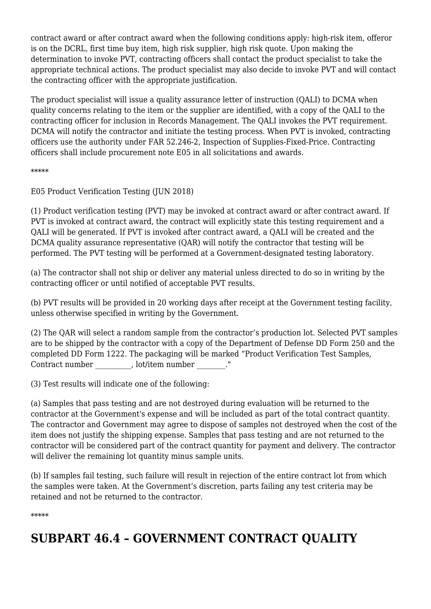contract award or after contract award when the following conditions apply: high-risk item, offeror is on the DCRL, first time buy item, high risk supplier, high risk quote. Upon making the determination to invoke PVT, contracting officers shall contact the product specialist to take the appropriate technical actions. The product specialist may also decide to invoke PVT and will contact the contracting officer with the appropriate justification.

The product specialist will issue a quality assurance letter of instruction (QALI) to DCMA when quality concerns relating to the item or the supplier are identified, with a copy of the QALI to the contracting officer for inclusion in Records Management. The QALI invokes the PVT requirement. DCMA will notify the contractor and initiate the testing process. When PVT is invoked, contracting officers use the authority under FAR 52.246-2, Inspection of Supplies-Fixed-Price. Contracting officers shall include procurement note E05 in all solicitations and awards.

\*\*\*\*\*

E05 Product Verification Testing (JUN 2018)

(1) Product verification testing (PVT) may be invoked at contract award or after contract award. If PVT is invoked at contract award, the contract will explicitly state this testing requirement and a QALI will be generated. If PVT is invoked after contract award, a QALI will be created and the DCMA quality assurance representative (QAR) will notify the contractor that testing will be performed. The PVT testing will be performed at a Government-designated testing laboratory.

(a) The contractor shall not ship or deliver any material unless directed to do so in writing by the contracting officer or until notified of acceptable PVT results.

(b) PVT results will be provided in 20 working days after receipt at the Government testing facility, unless otherwise specified in writing by the Government.

(2) The QAR will select a random sample from the contractor's production lot. Selected PVT samples are to be shipped by the contractor with a copy of the Department of Defense DD Form 250 and the completed DD Form 1222. The packaging will be marked "Product Verification Test Samples, Contract number details and health contract number and  $\sim$  ."

(3) Test results will indicate one of the following:

(a) Samples that pass testing and are not destroyed during evaluation will be returned to the contractor at the Government's expense and will be included as part of the total contract quantity. The contractor and Government may agree to dispose of samples not destroyed when the cost of the item does not justify the shipping expense. Samples that pass testing and are not returned to the contractor will be considered part of the contract quantity for payment and delivery. The contractor will deliver the remaining lot quantity minus sample units.

(b) If samples fail testing, such failure will result in rejection of the entire contract lot from which the samples were taken. At the Government's discretion, parts failing any test criteria may be retained and not be returned to the contractor.

\*\*\*\*\*

## **SUBPART 46.4 – GOVERNMENT CONTRACT QUALITY**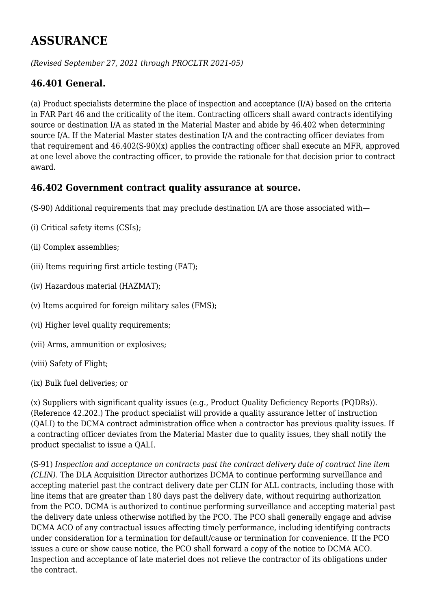## **ASSURANCE**

*(Revised September 27, 2021 through PROCLTR 2021-05)*

### **46.401 General.**

(a) Product specialists determine the place of inspection and acceptance (I/A) based on the criteria in FAR Part 46 and the criticality of the item. Contracting officers shall award contracts identifying source or destination I/A as stated in the Material Master and abide by 46.402 when determining source I/A. If the Material Master states destination I/A and the contracting officer deviates from that requirement and 46.402(S-90)(x) applies the contracting officer shall execute an MFR, approved at one level above the contracting officer, to provide the rationale for that decision prior to contract award.

#### **46.402 Government contract quality assurance at source.**

(S-90) Additional requirements that may preclude destination I/A are those associated with—

- (i) Critical safety items (CSIs);
- (ii) Complex assemblies;
- (iii) Items requiring first article testing (FAT);
- (iv) Hazardous material (HAZMAT);
- (v) Items acquired for foreign military sales (FMS);
- (vi) Higher level quality requirements;
- (vii) Arms, ammunition or explosives;
- (viii) Safety of Flight;
- (ix) Bulk fuel deliveries; or

(x) Suppliers with significant quality issues (e.g., Product Quality Deficiency Reports (PQDRs)). (Reference 42.202.) The product specialist will provide a quality assurance letter of instruction (QALI) to the DCMA contract administration office when a contractor has previous quality issues. If a contracting officer deviates from the Material Master due to quality issues, they shall notify the product specialist to issue a QALI.

(S-91) *Inspection and acceptance on contracts past the contract delivery date of contract line item (CLIN)*. The DLA Acquisition Director authorizes DCMA to continue performing surveillance and accepting materiel past the contract delivery date per CLIN for ALL contracts, including those with line items that are greater than 180 days past the delivery date, without requiring authorization from the PCO. DCMA is authorized to continue performing surveillance and accepting material past the delivery date unless otherwise notified by the PCO. The PCO shall generally engage and advise DCMA ACO of any contractual issues affecting timely performance, including identifying contracts under consideration for a termination for default/cause or termination for convenience. If the PCO issues a cure or show cause notice, the PCO shall forward a copy of the notice to DCMA ACO. Inspection and acceptance of late materiel does not relieve the contractor of its obligations under the contract.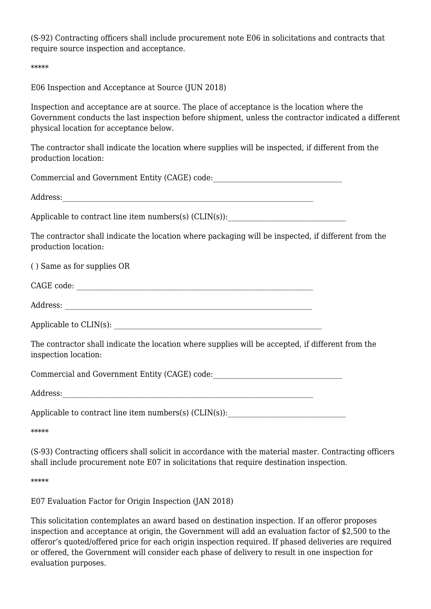(S-92) Contracting officers shall include procurement note E06 in solicitations and contracts that require source inspection and acceptance.

\*\*\*\*\*

E06 Inspection and Acceptance at Source (JUN 2018)

Inspection and acceptance are at source. The place of acceptance is the location where the Government conducts the last inspection before shipment, unless the contractor indicated a different physical location for acceptance below.

The contractor shall indicate the location where supplies will be inspected, if different from the production location:

Commercial and Government Entity (CAGE) code:

Address:

Applicable to contract line item numbers(s)  $(CLIN(s))$ :

The contractor shall indicate the location where packaging will be inspected, if different from the production location:

( ) Same as for supplies OR

| $\bigcap \Lambda \cap \Gamma$<br>--<br>UΑ<br>-uv-<br>ں س |  |
|----------------------------------------------------------|--|
|                                                          |  |

Address: \_\_\_\_\_\_\_\_\_\_\_\_\_\_\_\_\_\_\_\_\_\_\_\_\_\_\_\_\_\_\_\_\_\_\_\_\_\_\_\_\_\_\_\_\_\_\_\_\_\_\_\_\_\_\_\_\_\_\_\_\_\_\_\_\_\_\_\_\_

Applicable to  $CLIN(s)$ :

The contractor shall indicate the location where supplies will be accepted, if different from the inspection location:

Commercial and Government Entity (CAGE) code:

Address:

Applicable to contract line item numbers(s)  $(CLIN(s))$ :

\*\*\*\*\*

(S-93) Contracting officers shall solicit in accordance with the material master. Contracting officers shall include procurement note E07 in solicitations that require destination inspection.

\*\*\*\*\*

E07 Evaluation Factor for Origin Inspection (JAN 2018)

This solicitation contemplates an award based on destination inspection. If an offeror proposes inspection and acceptance at origin, the Government will add an evaluation factor of \$2,500 to the offeror's quoted/offered price for each origin inspection required. If phased deliveries are required or offered, the Government will consider each phase of delivery to result in one inspection for evaluation purposes.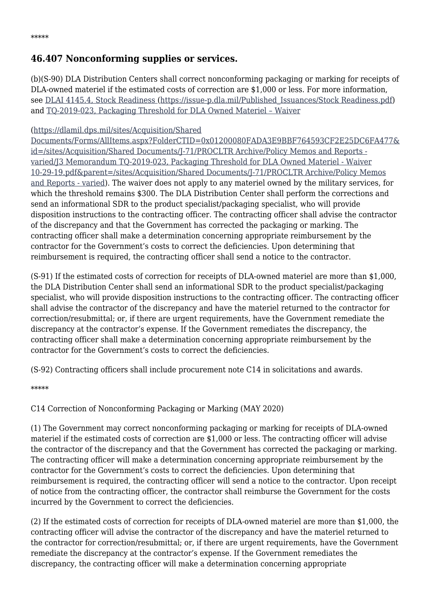### **46.407 Nonconforming supplies or services.**

(b)(S-90) DLA Distribution Centers shall correct nonconforming packaging or marking for receipts of DLA-owned materiel if the estimated costs of correction are \$1,000 or less. For more information, see [DLAI 4145.4, Stock Readiness \(https://issue-p.dla.mil/Published\\_Issuances/Stock Readiness.pdf\)](https://issue-p.dla.mil/Published_Issuances/Stock%20Readiness.pdf) and [TQ-2019-023, Packaging Threshold for DLA Owned Materiel – Waiver](https://dlamil.dps.mil/sites/Acquisition/Shared%20Documents/Forms/AllItems.aspx?FolderCTID=0x01200080FADA3E9BBF764593CF2E25DC6FA477&id=/sites/Acquisition/Shared%20Documents/J-71/PROCLTR%20Archive/Policy%20Memos%20and%20Reports%20-%20varied/J3%20Memorandum%20TQ-2019-023,%20Packaging%20Threshold%20for%20DLA%20Owned%20Materiel%20-%20Waiver%2010-29-19.pdf&parent=/sites/Acquisition/Shared%20Documents/J-71/PROCLTR%20Archive/Policy%20Memos%20and%20Reports%20-%20varied)

#### [\(https://dlamil.dps.mil/sites/Acquisition/Shared](https://dlamil.dps.mil/sites/Acquisition/Shared%20Documents/Forms/AllItems.aspx?FolderCTID=0x01200080FADA3E9BBF764593CF2E25DC6FA477&id=/sites/Acquisition/Shared%20Documents/J-71/PROCLTR%20Archive/Policy%20Memos%20and%20Reports%20-%20varied/J3%20Memorandum%20TQ-2019-023,%20Packaging%20Threshold%20for%20DLA%20Owned%20Materiel%20-%20Waiver%2010-29-19.pdf&parent=/sites/Acquisition/Shared%20Documents/J-71/PROCLTR%20Archive/Policy%20Memos%20and%20Reports%20-%20varied)

[Documents/Forms/AllItems.aspx?FolderCTID=0x01200080FADA3E9BBF764593CF2E25DC6FA477&](https://dlamil.dps.mil/sites/Acquisition/Shared%20Documents/Forms/AllItems.aspx?FolderCTID=0x01200080FADA3E9BBF764593CF2E25DC6FA477&id=/sites/Acquisition/Shared%20Documents/J-71/PROCLTR%20Archive/Policy%20Memos%20and%20Reports%20-%20varied/J3%20Memorandum%20TQ-2019-023,%20Packaging%20Threshold%20for%20DLA%20Owned%20Materiel%20-%20Waiver%2010-29-19.pdf&parent=/sites/Acquisition/Shared%20Documents/J-71/PROCLTR%20Archive/Policy%20Memos%20and%20Reports%20-%20varied) [id=/sites/Acquisition/Shared Documents/J-71/PROCLTR Archive/Policy Memos and Reports](https://dlamil.dps.mil/sites/Acquisition/Shared%20Documents/Forms/AllItems.aspx?FolderCTID=0x01200080FADA3E9BBF764593CF2E25DC6FA477&id=/sites/Acquisition/Shared%20Documents/J-71/PROCLTR%20Archive/Policy%20Memos%20and%20Reports%20-%20varied/J3%20Memorandum%20TQ-2019-023,%20Packaging%20Threshold%20for%20DLA%20Owned%20Materiel%20-%20Waiver%2010-29-19.pdf&parent=/sites/Acquisition/Shared%20Documents/J-71/PROCLTR%20Archive/Policy%20Memos%20and%20Reports%20-%20varied)  [varied/J3 Memorandum TQ-2019-023, Packaging Threshold for DLA Owned Materiel - Waiver](https://dlamil.dps.mil/sites/Acquisition/Shared%20Documents/Forms/AllItems.aspx?FolderCTID=0x01200080FADA3E9BBF764593CF2E25DC6FA477&id=/sites/Acquisition/Shared%20Documents/J-71/PROCLTR%20Archive/Policy%20Memos%20and%20Reports%20-%20varied/J3%20Memorandum%20TQ-2019-023,%20Packaging%20Threshold%20for%20DLA%20Owned%20Materiel%20-%20Waiver%2010-29-19.pdf&parent=/sites/Acquisition/Shared%20Documents/J-71/PROCLTR%20Archive/Policy%20Memos%20and%20Reports%20-%20varied) [10-29-19.pdf&parent=/sites/Acquisition/Shared Documents/J-71/PROCLTR Archive/Policy Memos](https://dlamil.dps.mil/sites/Acquisition/Shared%20Documents/Forms/AllItems.aspx?FolderCTID=0x01200080FADA3E9BBF764593CF2E25DC6FA477&id=/sites/Acquisition/Shared%20Documents/J-71/PROCLTR%20Archive/Policy%20Memos%20and%20Reports%20-%20varied/J3%20Memorandum%20TQ-2019-023,%20Packaging%20Threshold%20for%20DLA%20Owned%20Materiel%20-%20Waiver%2010-29-19.pdf&parent=/sites/Acquisition/Shared%20Documents/J-71/PROCLTR%20Archive/Policy%20Memos%20and%20Reports%20-%20varied) [and Reports - varied\)](https://dlamil.dps.mil/sites/Acquisition/Shared%20Documents/Forms/AllItems.aspx?FolderCTID=0x01200080FADA3E9BBF764593CF2E25DC6FA477&id=/sites/Acquisition/Shared%20Documents/J-71/PROCLTR%20Archive/Policy%20Memos%20and%20Reports%20-%20varied/J3%20Memorandum%20TQ-2019-023,%20Packaging%20Threshold%20for%20DLA%20Owned%20Materiel%20-%20Waiver%2010-29-19.pdf&parent=/sites/Acquisition/Shared%20Documents/J-71/PROCLTR%20Archive/Policy%20Memos%20and%20Reports%20-%20varied). The waiver does not apply to any materiel owned by the military services, for which the threshold remains \$300. The DLA Distribution Center shall perform the corrections and send an informational SDR to the product specialist/packaging specialist, who will provide disposition instructions to the contracting officer. The contracting officer shall advise the contractor of the discrepancy and that the Government has corrected the packaging or marking. The contracting officer shall make a determination concerning appropriate reimbursement by the contractor for the Government's costs to correct the deficiencies. Upon determining that reimbursement is required, the contracting officer shall send a notice to the contractor.

(S-91) If the estimated costs of correction for receipts of DLA-owned materiel are more than \$1,000, the DLA Distribution Center shall send an informational SDR to the product specialist/packaging specialist, who will provide disposition instructions to the contracting officer. The contracting officer shall advise the contractor of the discrepancy and have the materiel returned to the contractor for correction/resubmittal; or, if there are urgent requirements, have the Government remediate the discrepancy at the contractor's expense. If the Government remediates the discrepancy, the contracting officer shall make a determination concerning appropriate reimbursement by the contractor for the Government's costs to correct the deficiencies.

(S-92) Contracting officers shall include procurement note C14 in solicitations and awards.

\*\*\*\*\*

C14 Correction of Nonconforming Packaging or Marking (MAY 2020)

(1) The Government may correct nonconforming packaging or marking for receipts of DLA-owned materiel if the estimated costs of correction are \$1,000 or less. The contracting officer will advise the contractor of the discrepancy and that the Government has corrected the packaging or marking. The contracting officer will make a determination concerning appropriate reimbursement by the contractor for the Government's costs to correct the deficiencies. Upon determining that reimbursement is required, the contracting officer will send a notice to the contractor. Upon receipt of notice from the contracting officer, the contractor shall reimburse the Government for the costs incurred by the Government to correct the deficiencies.

(2) If the estimated costs of correction for receipts of DLA-owned materiel are more than \$1,000, the contracting officer will advise the contractor of the discrepancy and have the materiel returned to the contractor for correction/resubmittal; or, if there are urgent requirements, have the Government remediate the discrepancy at the contractor's expense. If the Government remediates the discrepancy, the contracting officer will make a determination concerning appropriate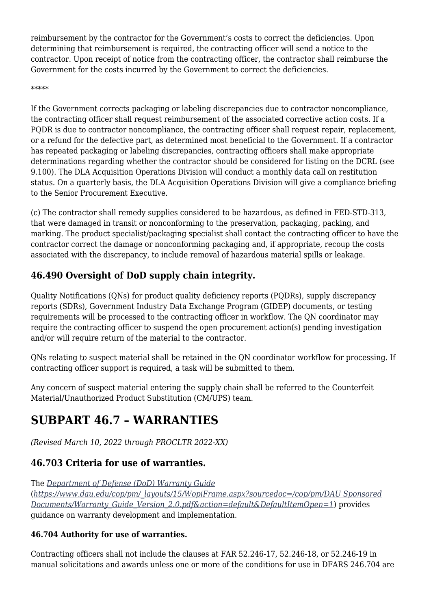reimbursement by the contractor for the Government's costs to correct the deficiencies. Upon determining that reimbursement is required, the contracting officer will send a notice to the contractor. Upon receipt of notice from the contracting officer, the contractor shall reimburse the Government for the costs incurred by the Government to correct the deficiencies.

#### \*\*\*\*\*

If the Government corrects packaging or labeling discrepancies due to contractor noncompliance, the contracting officer shall request reimbursement of the associated corrective action costs. If a PQDR is due to contractor noncompliance, the contracting officer shall request repair, replacement, or a refund for the defective part, as determined most beneficial to the Government. If a contractor has repeated packaging or labeling discrepancies, contracting officers shall make appropriate determinations regarding whether the contractor should be considered for listing on the DCRL (see 9.100). The DLA Acquisition Operations Division will conduct a monthly data call on restitution status. On a quarterly basis, the DLA Acquisition Operations Division will give a compliance briefing to the Senior Procurement Executive.

(c) The contractor shall remedy supplies considered to be hazardous, as defined in FED-STD-313, that were damaged in transit or nonconforming to the preservation, packaging, packing, and marking. The product specialist/packaging specialist shall contact the contracting officer to have the contractor correct the damage or nonconforming packaging and, if appropriate, recoup the costs associated with the discrepancy, to include removal of hazardous material spills or leakage.

### **46.490 Oversight of DoD supply chain integrity.**

Quality Notifications (QNs) for product quality deficiency reports (PQDRs), supply discrepancy reports (SDRs), Government Industry Data Exchange Program (GIDEP) documents, or testing requirements will be processed to the contracting officer in workflow. The QN coordinator may require the contracting officer to suspend the open procurement action(s) pending investigation and/or will require return of the material to the contractor.

QNs relating to suspect material shall be retained in the QN coordinator workflow for processing. If contracting officer support is required, a task will be submitted to them.

Any concern of suspect material entering the supply chain shall be referred to the Counterfeit Material/Unauthorized Product Substitution (CM/UPS) team.

## **SUBPART 46.7 – WARRANTIES**

*(Revised March 10, 2022 through PROCLTR 2022-XX)*

### **46.703 Criteria for use of warranties.**

The *[Department of Defense \(DoD\) Warranty Guide](https://www.dau.edu/cop/pm/_layouts/15/WopiFrame.aspx?sourcedoc=/cop/pm/DAU%20Sponsored%20Documents/Warranty_Guide_Version_2.0.pdf&action=default&DefaultItemOpen=1)* (*[https://www.dau.edu/cop/pm/\\_layouts/15/WopiFrame.aspx?sourcedoc=/cop/pm/DAU Sponsored](https://www.dau.edu/cop/pm/_layouts/15/WopiFrame.aspx?sourcedoc=/cop/pm/DAU%20Sponsored%20Documents/Warranty_Guide_Version_2.0.pdf&action=default&DefaultItemOpen=1) [Documents/Warranty\\_Guide\\_Version\\_2.0.pdf&action=default&DefaultItemOpen=1](https://www.dau.edu/cop/pm/_layouts/15/WopiFrame.aspx?sourcedoc=/cop/pm/DAU%20Sponsored%20Documents/Warranty_Guide_Version_2.0.pdf&action=default&DefaultItemOpen=1)*) provides guidance on warranty development and implementation.

#### **46.704 Authority for use of warranties.**

Contracting officers shall not include the clauses at FAR 52.246-17, 52.246-18, or 52.246-19 in manual solicitations and awards unless one or more of the conditions for use in DFARS 246.704 are